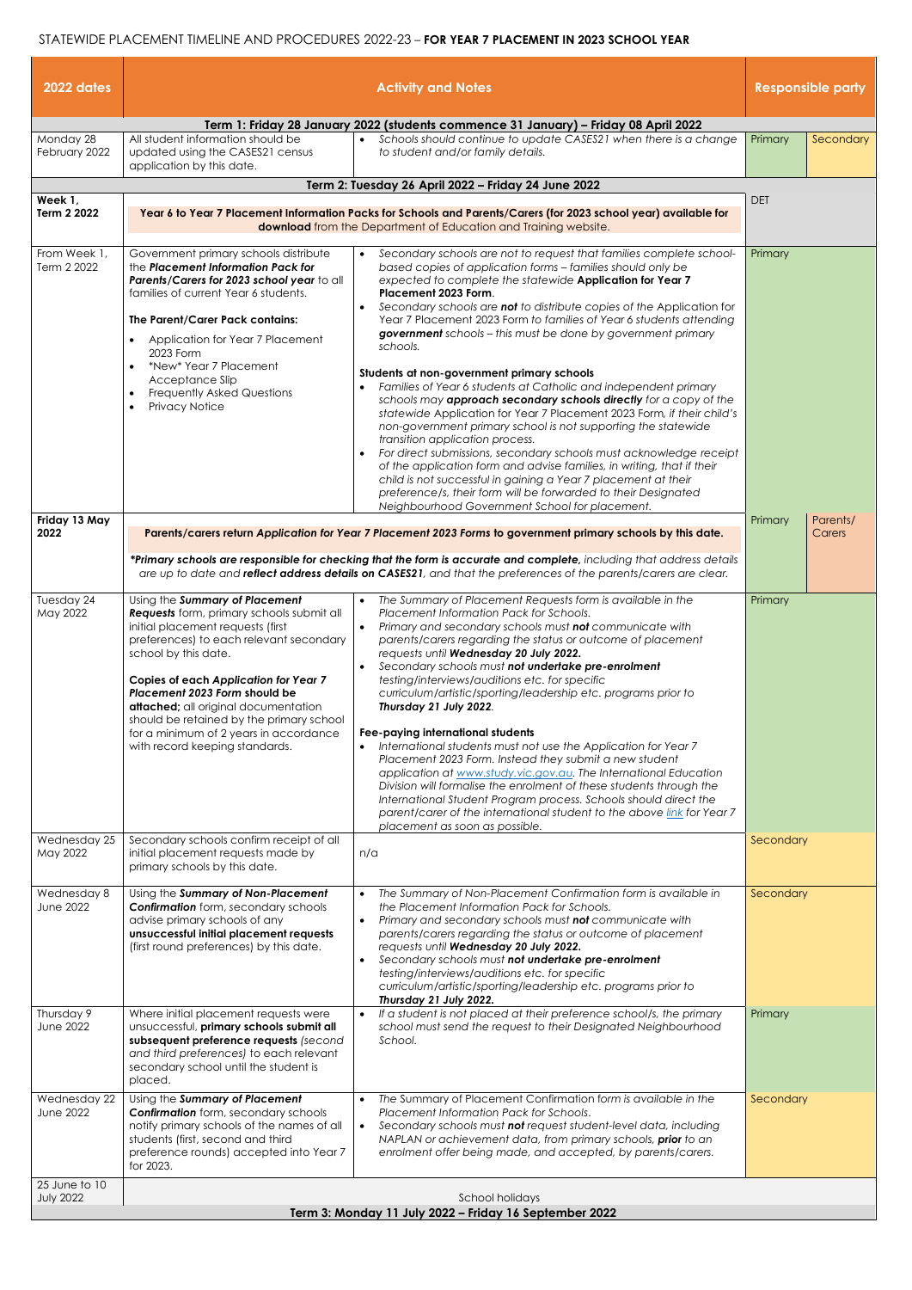## STATEWIDE PLACEMENT TIMELINE AND PROCEDURES 2022-23 – **FOR YEAR 7 PLACEMENT IN 2023 SCHOOL YEAR**

| 2022 dates                                                                                    |                                                                                                                                                                                                                                                                                                                                                                                                                                             | <b>Activity and Notes</b>                                                                                                                                                                                                                                                                                                                                                                                                                                                                                                                                                                                                                                                                                                                                                                                                                                                                                                                                                                                                                                                                                                                          | <b>Responsible party</b> |                    |  |  |  |
|-----------------------------------------------------------------------------------------------|---------------------------------------------------------------------------------------------------------------------------------------------------------------------------------------------------------------------------------------------------------------------------------------------------------------------------------------------------------------------------------------------------------------------------------------------|----------------------------------------------------------------------------------------------------------------------------------------------------------------------------------------------------------------------------------------------------------------------------------------------------------------------------------------------------------------------------------------------------------------------------------------------------------------------------------------------------------------------------------------------------------------------------------------------------------------------------------------------------------------------------------------------------------------------------------------------------------------------------------------------------------------------------------------------------------------------------------------------------------------------------------------------------------------------------------------------------------------------------------------------------------------------------------------------------------------------------------------------------|--------------------------|--------------------|--|--|--|
| Term 1: Friday 28 January 2022 (students commence 31 January) - Friday 08 April 2022          |                                                                                                                                                                                                                                                                                                                                                                                                                                             |                                                                                                                                                                                                                                                                                                                                                                                                                                                                                                                                                                                                                                                                                                                                                                                                                                                                                                                                                                                                                                                                                                                                                    |                          |                    |  |  |  |
| Monday 28<br>February 2022                                                                    | All student information should be<br>updated using the CASES21 census<br>application by this date.                                                                                                                                                                                                                                                                                                                                          | Schools should continue to update CASES21 when there is a change<br>to student and/or family details.                                                                                                                                                                                                                                                                                                                                                                                                                                                                                                                                                                                                                                                                                                                                                                                                                                                                                                                                                                                                                                              | Primary                  | Secondary          |  |  |  |
|                                                                                               |                                                                                                                                                                                                                                                                                                                                                                                                                                             | Term 2: Tuesday 26 April 2022 - Friday 24 June 2022                                                                                                                                                                                                                                                                                                                                                                                                                                                                                                                                                                                                                                                                                                                                                                                                                                                                                                                                                                                                                                                                                                | <b>DET</b>               |                    |  |  |  |
| Week 1,<br>Term 2 2022                                                                        | Year 6 to Year 7 Placement Information Packs for Schools and Parents/Carers (for 2023 school year) available for<br>download from the Department of Education and Training website.                                                                                                                                                                                                                                                         |                                                                                                                                                                                                                                                                                                                                                                                                                                                                                                                                                                                                                                                                                                                                                                                                                                                                                                                                                                                                                                                                                                                                                    |                          |                    |  |  |  |
| From Week 1,<br>Term 2 2022                                                                   | Government primary schools distribute<br>the Placement Information Pack for<br>Parents/Carers for 2023 school year to all<br>families of current Year 6 students.<br>The Parent/Carer Pack contains:<br>Application for Year 7 Placement<br>2023 Form<br>*New* Year 7 Placement<br>Acceptance Slip<br>Frequently Asked Questions<br><b>Privacy Notice</b>                                                                                   | Secondary schools are not to request that families complete school-<br>based copies of application forms - families should only be<br>expected to complete the statewide Application for Year 7<br>Placement 2023 Form.<br>Secondary schools are not to distribute copies of the Application for<br>$\bullet$<br>Year 7 Placement 2023 Form to families of Year 6 students attending<br>government schools - this must be done by government primary<br>schools.<br>Students at non-government primary schools<br>Families of Year 6 students at Catholic and independent primary<br>$\bullet$<br>schools may approach secondary schools directly for a copy of the<br>statewide Application for Year 7 Placement 2023 Form, if their child's<br>non-government primary school is not supporting the statewide<br>transition application process.<br>For direct submissions, secondary schools must acknowledge receipt<br>$\bullet$<br>of the application form and advise families, in writing, that if their<br>child is not successful in gaining a Year 7 placement at their<br>preference/s, their form will be forwarded to their Designated | Primary                  |                    |  |  |  |
|                                                                                               |                                                                                                                                                                                                                                                                                                                                                                                                                                             | Neighbourhood Government School for placement.                                                                                                                                                                                                                                                                                                                                                                                                                                                                                                                                                                                                                                                                                                                                                                                                                                                                                                                                                                                                                                                                                                     |                          |                    |  |  |  |
| Friday 13 May<br>2022                                                                         |                                                                                                                                                                                                                                                                                                                                                                                                                                             | Parents/carers return Application for Year 7 Placement 2023 Forms to government primary schools by this date.<br>*Primary schools are responsible for checking that the form is accurate and complete, including that address details<br>are up to date and <b>reflect address details on CASES21</b> , and that the preferences of the parents/carers are clear.                                                                                                                                                                                                                                                                                                                                                                                                                                                                                                                                                                                                                                                                                                                                                                                  | Primary                  | Parents/<br>Carers |  |  |  |
| Tuesday 24<br>May 2022                                                                        | Using the Summary of Placement<br><b>Requests</b> form, primary schools submit all<br>initial placement requests (first<br>preferences) to each relevant secondary<br>school by this date.<br><b>Copies of each Application for Year 7</b><br>Placement 2023 Form should be<br>attached; all original documentation<br>should be retained by the primary school<br>for a minimum of 2 years in accordance<br>with record keeping standards. | The Summary of Placement Requests form is available in the<br>$\bullet$<br>Placement Information Pack for Schools.<br>Primary and secondary schools must not communicate with<br>$\bullet$<br>parents/carers regarding the status or outcome of placement<br>requests until Wednesday 20 July 2022.<br>Secondary schools must not undertake pre-enrolment<br>$\bullet$<br>testing/interviews/auditions etc. for specific<br>curriculum/artistic/sporting/leadership etc. programs prior to<br>Thursday 21 July 2022.<br>Fee-paying international students<br>International students must not use the Application for Year 7<br>Placement 2023 Form. Instead they submit a new student<br>application at www.study.vic.gov.au. The International Education<br>Division will formalise the enrolment of these students through the<br>International Student Program process. Schools should direct the<br>parent/carer of the international student to the above link for Year 7                                                                                                                                                                     | Primary                  |                    |  |  |  |
| Wednesday 25<br>May 2022                                                                      | Secondary schools confirm receipt of all<br>initial placement requests made by                                                                                                                                                                                                                                                                                                                                                              | placement as soon as possible.<br>n/a                                                                                                                                                                                                                                                                                                                                                                                                                                                                                                                                                                                                                                                                                                                                                                                                                                                                                                                                                                                                                                                                                                              | Secondary                |                    |  |  |  |
| Wednesday 8<br><b>June 2022</b>                                                               | primary schools by this date.<br>Using the Summary of Non-Placement<br><b>Confirmation</b> form, secondary schools<br>advise primary schools of any<br>unsuccessful initial placement requests<br>(first round preferences) by this date.                                                                                                                                                                                                   | The Summary of Non-Placement Confirmation form is available in<br>the Placement Information Pack for Schools.<br>Primary and secondary schools must not communicate with<br>$\bullet$<br>parents/carers regarding the status or outcome of placement<br>requests until Wednesday 20 July 2022.<br>Secondary schools must not undertake pre-enrolment<br>$\bullet$<br>testing/interviews/auditions etc. for specific<br>curriculum/artistic/sporting/leadership etc. programs prior to<br>Thursday 21 July 2022.                                                                                                                                                                                                                                                                                                                                                                                                                                                                                                                                                                                                                                    | Secondary                |                    |  |  |  |
| Thursday 9<br><b>June 2022</b>                                                                | Where initial placement requests were<br>unsuccessful, primary schools submit all<br>subsequent preference requests (second<br>and third preferences) to each relevant<br>secondary school until the student is<br>placed.                                                                                                                                                                                                                  | If a student is not placed at their preference school/s, the primary<br>school must send the request to their Designated Neighbourhood<br>School.                                                                                                                                                                                                                                                                                                                                                                                                                                                                                                                                                                                                                                                                                                                                                                                                                                                                                                                                                                                                  | Primary                  |                    |  |  |  |
| Wednesday 22<br><b>June 2022</b>                                                              | Using the Summary of Placement<br><b>Confirmation</b> form, secondary schools<br>notify primary schools of the names of all<br>students (first, second and third<br>preference rounds) accepted into Year 7<br>for 2023.                                                                                                                                                                                                                    | The Summary of Placement Confirmation form is available in the<br>Placement Information Pack for Schools.<br>Secondary schools must not request student-level data, including<br>$\bullet$<br>NAPLAN or achievement data, from primary schools, prior to an<br>enrolment offer being made, and accepted, by parents/carers.                                                                                                                                                                                                                                                                                                                                                                                                                                                                                                                                                                                                                                                                                                                                                                                                                        | Secondary                |                    |  |  |  |
| 25 June to 10                                                                                 |                                                                                                                                                                                                                                                                                                                                                                                                                                             |                                                                                                                                                                                                                                                                                                                                                                                                                                                                                                                                                                                                                                                                                                                                                                                                                                                                                                                                                                                                                                                                                                                                                    |                          |                    |  |  |  |
| <b>July 2022</b><br>School holidays<br>Term 3: Monday 11 July 2022 - Friday 16 September 2022 |                                                                                                                                                                                                                                                                                                                                                                                                                                             |                                                                                                                                                                                                                                                                                                                                                                                                                                                                                                                                                                                                                                                                                                                                                                                                                                                                                                                                                                                                                                                                                                                                                    |                          |                    |  |  |  |